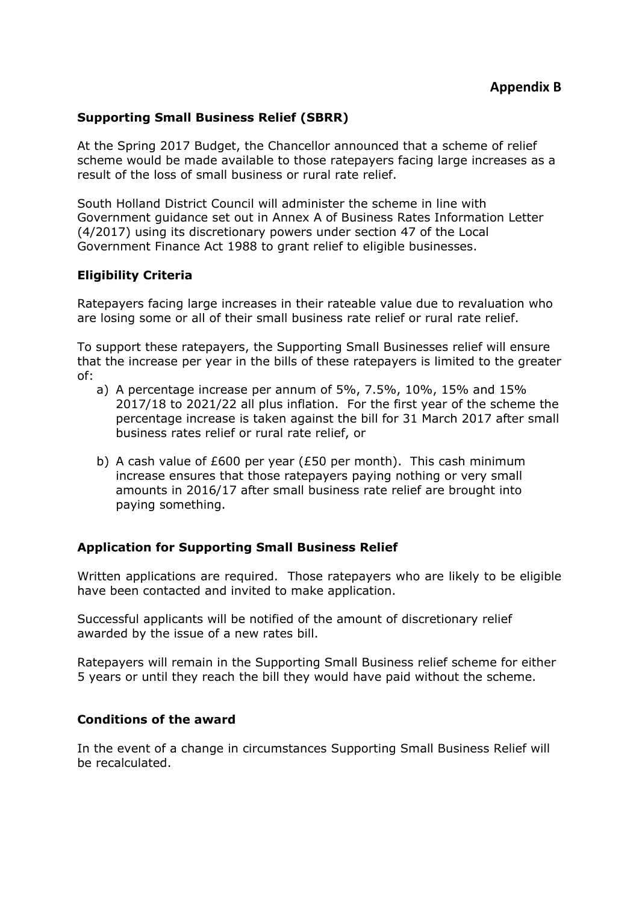### **Supporting Small Business Relief (SBRR)**

At the Spring 2017 Budget, the Chancellor announced that a scheme of relief scheme would be made available to those ratepayers facing large increases as a result of the loss of small business or rural rate relief.

South Holland District Council will administer the scheme in line with Government guidance set out in Annex A of Business Rates Information Letter (4/2017) using its discretionary powers under section 47 of the Local Government Finance Act 1988 to grant relief to eligible businesses.

### **Eligibility Criteria**

Ratepayers facing large increases in their rateable value due to revaluation who are losing some or all of their small business rate relief or rural rate relief.

To support these ratepayers, the Supporting Small Businesses relief will ensure that the increase per year in the bills of these ratepayers is limited to the greater of:

- a) A percentage increase per annum of 5%, 7.5%, 10%, 15% and 15% 2017/18 to 2021/22 all plus inflation. For the first year of the scheme the percentage increase is taken against the bill for 31 March 2017 after small business rates relief or rural rate relief, or
- b) A cash value of £600 per year (£50 per month). This cash minimum increase ensures that those ratepayers paying nothing or very small amounts in 2016/17 after small business rate relief are brought into paying something.

#### **Application for Supporting Small Business Relief**

Written applications are required. Those ratepayers who are likely to be eligible have been contacted and invited to make application.

Successful applicants will be notified of the amount of discretionary relief awarded by the issue of a new rates bill.

Ratepayers will remain in the Supporting Small Business relief scheme for either 5 years or until they reach the bill they would have paid without the scheme.

#### **Conditions of the award**

In the event of a change in circumstances Supporting Small Business Relief will be recalculated.